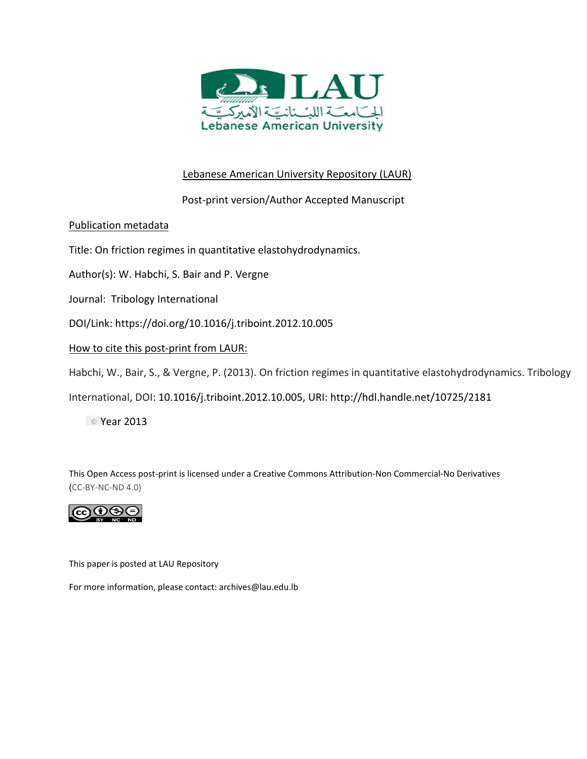

# Lebanese American University Repository (LAUR)

# Post‐print version/Author Accepted Manuscript

## Publication metadata

Title: On friction regimes in quantitative elastohydrodynamics.

Author(s): W. Habchi, S. Bair and P. Vergne

Journal: Tribology International

DOI/Link: https://doi.org/10.1016/j.triboint.2012.10.005

How to cite this post‐print from LAUR:

Habchi, W., Bair, S., & Vergne, P. (2013). On friction regimes in quantitative elastohydrodynamics. Tribology

International, DOI: 10.1016/j.triboint.2012.10.005, URI: http://hdl.handle.net/10725/2181

© Year 2013

This Open Access post‐print is licensed under a Creative Commons Attribution‐Non Commercial‐No Derivatives (CC‐BY‐NC‐ND 4.0)



This paper is posted at LAU Repository

For more information, please contact: archives@lau.edu.lb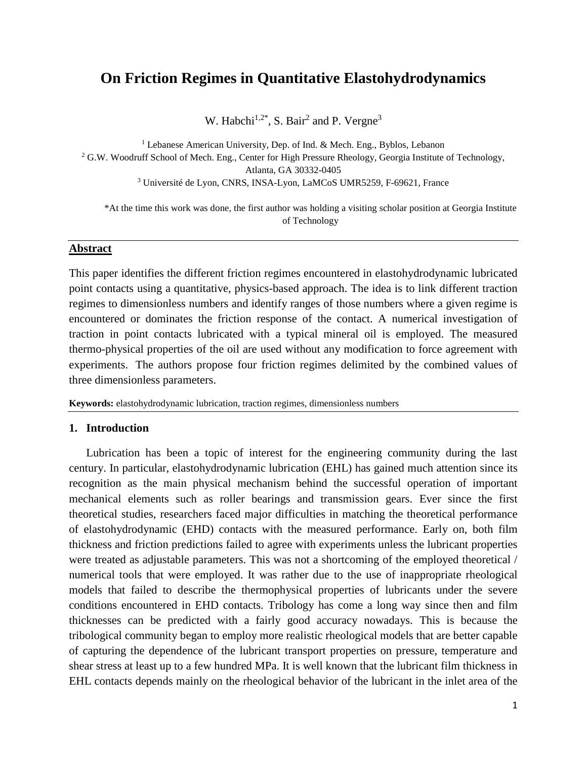# **On Friction Regimes in Quantitative Elastohydrodynamics**

W. Habchi<sup>1,2\*</sup>, S. Bair<sup>2</sup> and P. Vergne<sup>3</sup>

<sup>1</sup> Lebanese American University, Dep. of Ind. & Mech. Eng., Byblos, Lebanon <sup>2</sup> G.W. Woodruff School of Mech. Eng., Center for High Pressure Rheology, Georgia Institute of Technology, Atlanta, GA 30332-0405 <sup>3</sup> Université de Lyon, CNRS, INSA-Lyon, LaMCoS UMR5259, F-69621, France

\*At the time this work was done, the first author was holding a visiting scholar position at Georgia Institute of Technology

## **Abstract**

This paper identifies the different friction regimes encountered in elastohydrodynamic lubricated point contacts using a quantitative, physics-based approach. The idea is to link different traction regimes to dimensionless numbers and identify ranges of those numbers where a given regime is encountered or dominates the friction response of the contact. A numerical investigation of traction in point contacts lubricated with a typical mineral oil is employed. The measured thermo-physical properties of the oil are used without any modification to force agreement with experiments. The authors propose four friction regimes delimited by the combined values of three dimensionless parameters.

**Keywords:** elastohydrodynamic lubrication, traction regimes, dimensionless numbers

#### **1. Introduction**

Lubrication has been a topic of interest for the engineering community during the last century. In particular, elastohydrodynamic lubrication (EHL) has gained much attention since its recognition as the main physical mechanism behind the successful operation of important mechanical elements such as roller bearings and transmission gears. Ever since the first theoretical studies, researchers faced major difficulties in matching the theoretical performance of elastohydrodynamic (EHD) contacts with the measured performance. Early on, both film thickness and friction predictions failed to agree with experiments unless the lubricant properties were treated as adjustable parameters. This was not a shortcoming of the employed theoretical / numerical tools that were employed. It was rather due to the use of inappropriate rheological models that failed to describe the thermophysical properties of lubricants under the severe conditions encountered in EHD contacts. Tribology has come a long way since then and film thicknesses can be predicted with a fairly good accuracy nowadays. This is because the tribological community began to employ more realistic rheological models that are better capable of capturing the dependence of the lubricant transport properties on pressure, temperature and shear stress at least up to a few hundred MPa. It is well known that the lubricant film thickness in EHL contacts depends mainly on the rheological behavior of the lubricant in the inlet area of the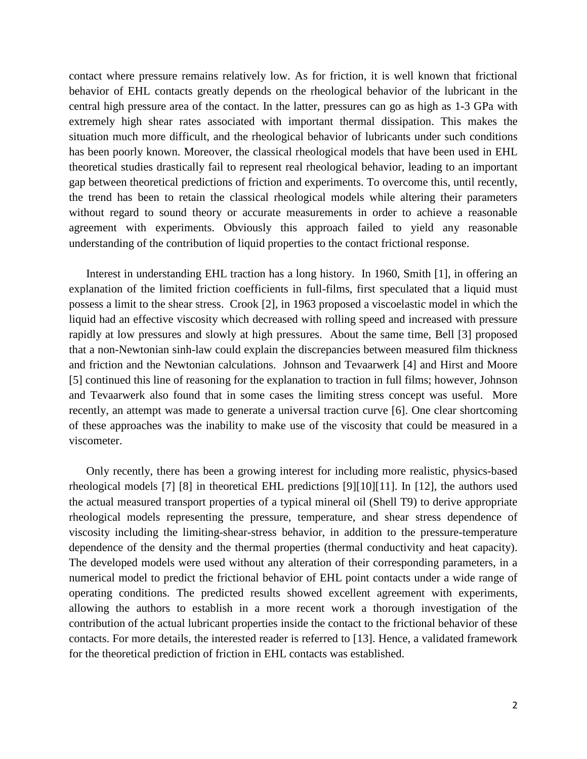contact where pressure remains relatively low. As for friction, it is well known that frictional behavior of EHL contacts greatly depends on the rheological behavior of the lubricant in the central high pressure area of the contact. In the latter, pressures can go as high as 1-3 GPa with extremely high shear rates associated with important thermal dissipation. This makes the situation much more difficult, and the rheological behavior of lubricants under such conditions has been poorly known. Moreover, the classical rheological models that have been used in EHL theoretical studies drastically fail to represent real rheological behavior, leading to an important gap between theoretical predictions of friction and experiments. To overcome this, until recently, the trend has been to retain the classical rheological models while altering their parameters without regard to sound theory or accurate measurements in order to achieve a reasonable agreement with experiments. Obviously this approach failed to yield any reasonable understanding of the contribution of liquid properties to the contact frictional response.

Interest in understanding EHL traction has a long history. In 1960, Smith [\[1\],](#page-22-0) in offering an explanation of the limited friction coefficients in full-films, first speculated that a liquid must possess a limit to the shear stress. Crook [\[2\],](#page-22-1) in 1963 proposed a viscoelastic model in which the liquid had an effective viscosity which decreased with rolling speed and increased with pressure rapidly at low pressures and slowly at high pressures. About the same time, Bell [\[3\]](#page-22-2) proposed that a non-Newtonian sinh-law could explain the discrepancies between measured film thickness and friction and the Newtonian calculations. Johnson and Tevaarwerk [\[4\]](#page-22-3) and Hirst and Moore [\[5\]](#page-22-4) continued this line of reasoning for the explanation to traction in full films; however, Johnson and Tevaarwerk also found that in some cases the limiting stress concept was useful. More recently, an attempt was made to generate a universal traction curve [\[6\].](#page-22-5) One clear shortcoming of these approaches was the inability to make use of the viscosity that could be measured in a viscometer.

Only recently, there has been a growing interest for including more realistic, physics-based rheological models [\[7\]](#page-22-6) [\[8\]](#page-22-7) in theoretical EHL predictions [\[9\]](#page-22-8)[\[10\]](#page-22-9)[\[11\].](#page-22-10) In [\[12\],](#page-22-11) the authors used the actual measured transport properties of a typical mineral oil (Shell T9) to derive appropriate rheological models representing the pressure, temperature, and shear stress dependence of viscosity including the limiting-shear-stress behavior, in addition to the pressure-temperature dependence of the density and the thermal properties (thermal conductivity and heat capacity). The developed models were used without any alteration of their corresponding parameters, in a numerical model to predict the frictional behavior of EHL point contacts under a wide range of operating conditions. The predicted results showed excellent agreement with experiments, allowing the authors to establish in a more recent work a thorough investigation of the contribution of the actual lubricant properties inside the contact to the frictional behavior of these contacts. For more details, the interested reader is referred to [\[13\].](#page-22-12) Hence, a validated framework for the theoretical prediction of friction in EHL contacts was established.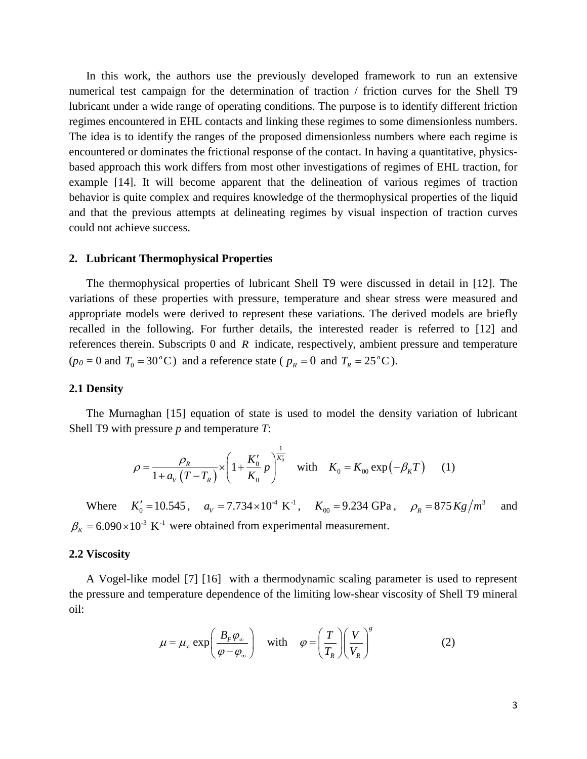In this work, the authors use the previously developed framework to run an extensive numerical test campaign for the determination of traction / friction curves for the Shell T9 lubricant under a wide range of operating conditions. The purpose is to identify different friction regimes encountered in EHL contacts and linking these regimes to some dimensionless numbers. The idea is to identify the ranges of the proposed dimensionless numbers where each regime is encountered or dominates the frictional response of the contact. In having a quantitative, physicsbased approach this work differs from most other investigations of regimes of EHL traction, for example [\[14\].](#page-23-0) It will become apparent that the delineation of various regimes of traction behavior is quite complex and requires knowledge of the thermophysical properties of the liquid and that the previous attempts at delineating regimes by visual inspection of traction curves could not achieve success.

#### **2. Lubricant Thermophysical Properties**

The thermophysical properties of lubricant Shell T9 were discussed in detail in [\[12\].](#page-22-11) The variations of these properties with pressure, temperature and shear stress were measured and appropriate models were derived to represent these variations. The derived models are briefly recalled in the following. For further details, the interested reader is referred to [\[12\]](#page-22-11) and references therein. Subscripts 0 and *R* indicate, respectively, ambient pressure and temperature  $(p_0 = 0 \text{ and } T_0 = 30^{\circ} \text{C})$  and a reference state ( $p_R = 0$  and  $T_R = 25^{\circ} \text{C}$ ).

#### **2.1 Density**

The Murnaghan [\[15\]](#page-23-1) equation of state is used to model the density variation of lubricant Shell T9 with pressure *p* and temperature *T*:

$$
\rho = \frac{\rho_R}{1 + a_V (T - T_R)} \times \left(1 + \frac{K_0'}{K_0} p\right)^{\frac{1}{K_0'}} \quad \text{with} \quad K_0 = K_{00} \exp(-\beta_K T) \tag{1}
$$

Where  $K'_0 = 10.545$ ,  $a_V = 7.734 \times 10^{-4} \text{ K}^{-1}$ ,  $K_{00} = 9.234 \text{ GPa}$ ,  $\rho_R = 875 Kg/m^3$  and  $\beta_K = 6.090 \times 10^{-3} \text{ K}^{-1}$  were obtained from experimental measurement.

#### **2.2 Viscosity**

A Vogel-like model [\[7\]](#page-22-6) [\[16\]](#page-23-2) with a thermodynamic scaling parameter is used to represent the pressure and temperature dependence of the limiting low-shear viscosity of Shell T9 mineral oil:

$$
\mu = \mu_{\infty} \exp\left(\frac{B_F \varphi_{\infty}}{\varphi - \varphi_{\infty}}\right) \quad \text{with} \quad \varphi = \left(\frac{T}{T_R}\right) \left(\frac{V}{V_R}\right)^s \tag{2}
$$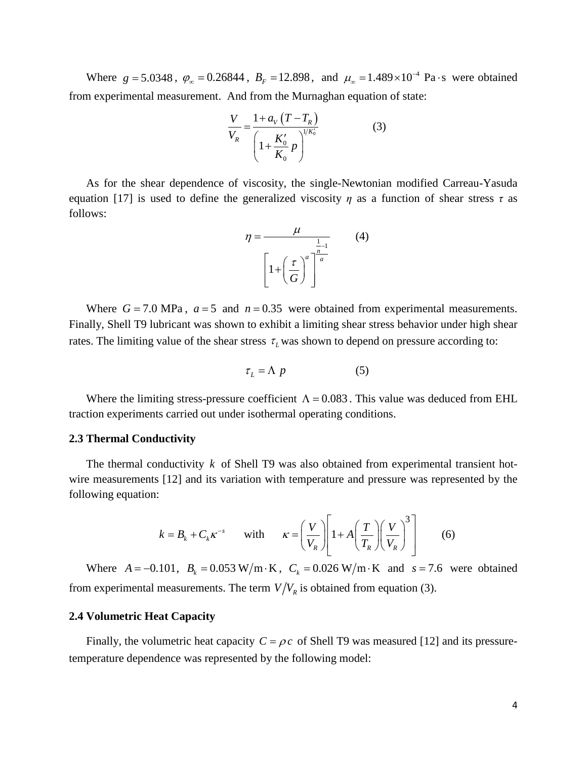Where  $g = 5.0348$ ,  $\varphi_{\infty} = 0.26844$ ,  $B_F = 12.898$ , and  $\mu_{\infty} = 1.489 \times 10^{-4}$  Pa s were obtained from experimental measurement. And from the Murnaghan equation of state:

$$
\frac{V}{V_R} = \frac{1 + a_V (T - T_R)}{\left(1 + \frac{K_0'}{K_0} p\right)^{1/K_0'}}
$$
(3)

As for the shear dependence of viscosity, the single-Newtonian modified Carreau-Yasuda equation [\[17\]](#page-23-3) is used to define the generalized viscosity  $\eta$  as a function of shear stress  $\tau$  as follows:

$$
\eta = \frac{\mu}{\left[1 + \left(\frac{\tau}{G}\right)^a\right]^{\frac{1}{a}}} \tag{4}
$$

Where  $G = 7.0$  MPa,  $a = 5$  and  $n = 0.35$  were obtained from experimental measurements. Finally, Shell T9 lubricant was shown to exhibit a limiting shear stress behavior under high shear rates. The limiting value of the shear stress  $\tau_L$  was shown to depend on pressure according to:

$$
\tau_L = \Lambda \ p \tag{5}
$$

Where the limiting stress-pressure coefficient  $\Lambda = 0.083$ . This value was deduced from EHL traction experiments carried out under isothermal operating conditions.

#### **2.3 Thermal Conductivity**

The thermal conductivity *k* of Shell T9 was also obtained from experimental transient hotwire measurements [\[12\]](#page-22-11) and its variation with temperature and pressure was represented by the following equation:

$$
k = B_k + C_k \kappa^{-s} \quad \text{with} \quad \kappa = \left(\frac{V}{V_R}\right) \left[1 + A\left(\frac{T}{T_R}\right) \left(\frac{V}{V_R}\right)^3\right] \quad (6)
$$

Where  $A = -0.101$ ,  $B_k = 0.053 \text{ W/m} \cdot \text{K}$ ,  $C_k = 0.026 \text{ W/m} \cdot \text{K}$  and  $s = 7.6$  were obtained from experimental measurements. The term  $V/V_R$  is obtained from equation (3).

#### **2.4 Volumetric Heat Capacity**

Finally, the volumetric heat capacity  $C = \rho c$  of Shell T9 was measured [\[12\]](#page-22-11) and its pressuretemperature dependence was represented by the following model: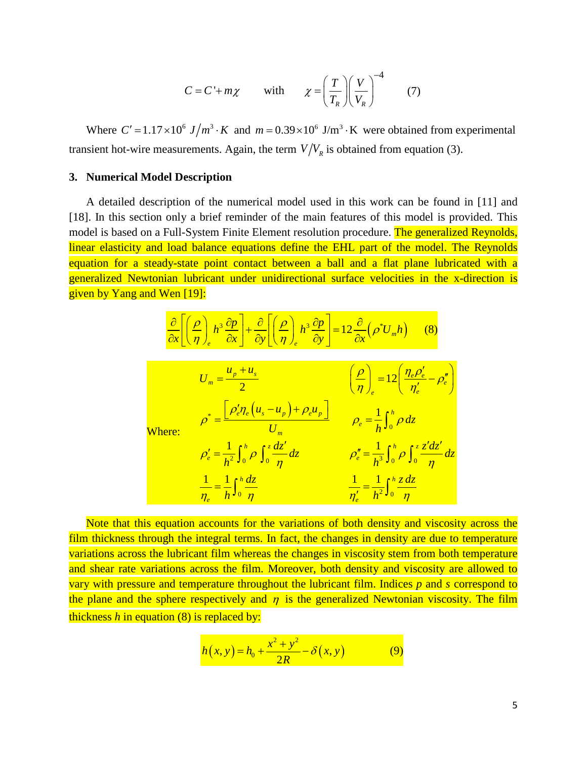$$
C = C + m\chi \qquad \text{with} \qquad \chi = \left(\frac{T}{T_R}\right) \left(\frac{V}{V_R}\right)^{-4} \tag{7}
$$

Where  $C' = 1.17 \times 10^6$   $J/m^3 \cdot K$  and  $m = 0.39 \times 10^6$  J/m<sup>3</sup>  $\cdot$ K were obtained from experimental transient hot-wire measurements. Again, the term  $V/V<sub>R</sub>$  is obtained from equation (3).

#### **3. Numerical Model Description**

A detailed description of the numerical model used in this work can be found in [\[11\]](#page-22-10) and [\[18\].](#page-23-4) In this section only a brief reminder of the main features of this model is provided. This model is based on a Full-System Finite Element resolution procedure. The generalized Reynolds, linear elasticity and load balance equations define the EHL part of the model. The Reynolds equation for a steady-state point contact between a ball and a flat plane lubricated with a generalized Newtonian lubricant under unidirectional surface velocities in the x-direction is given by Yang and Wen [\[19\]:](#page-23-5)

$$
\frac{\partial}{\partial x} \left[ \left( \frac{\rho}{\eta} \right)_e h^3 \frac{\partial p}{\partial x} \right] + \frac{\partial}{\partial y} \left[ \left( \frac{\rho}{\eta} \right)_e h^3 \frac{\partial p}{\partial y} \right] = 12 \frac{\partial}{\partial x} \left( \rho^* U_m h \right) \tag{8}
$$

|            | $U_m = \frac{u_p + u_s}{2}$                                                            | $\left(\frac{\rho}{\eta}\right)_e = 12 \left(\frac{\eta_e \rho'_e}{\eta'_e} - \rho''_e\right)$ |
|------------|----------------------------------------------------------------------------------------|------------------------------------------------------------------------------------------------|
| $\cdot$ e: | $\rho^* = \frac{\left[\rho'_e \eta_e \left(u_s - u_p\right) + \rho_e u_p\right]}{U_m}$ | $\rho_e = \frac{1}{h} \int_0^h \rho \, dz$                                                     |
|            | $\rho'_e = \frac{1}{h^2} \int_0^h \rho \int_0^z \frac{dz'}{\eta} dz$                   | $\rho''_e = \frac{1}{h^3} \int_0^h \rho \int_0^z \frac{z'dz'}{\eta} dz$                        |
|            | $\frac{1}{\eta_e} = \frac{1}{h} \int_0^h \frac{dz}{\eta}$                              | $\frac{1}{\eta'_e} = \frac{1}{h^2} \int_0^h \frac{z \, dz}{\eta}$                              |

 $\rm{Whe}$ 

Note that this equation accounts for the variations of both density and viscosity across the film thickness through the integral terms. In fact, the changes in density are due to temperature variations across the lubricant film whereas the changes in viscosity stem from both temperature and shear rate variations across the film. Moreover, both density and viscosity are allowed to vary with pressure and temperature throughout the lubricant film. Indices *p* and *s* correspond to the plane and the sphere respectively and  $\eta$  is the generalized Newtonian viscosity. The film thickness *h* in equation (8) is replaced by:

$$
h(x, y) = h_0 + \frac{x^2 + y^2}{2R} - \delta(x, y)
$$
 (9)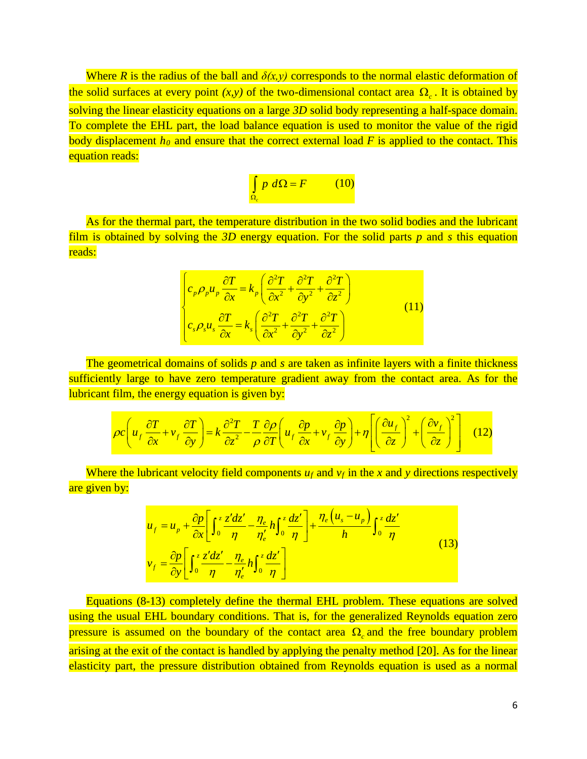Where *R* is the radius of the ball and  $\delta(x, y)$  corresponds to the normal elastic deformation of the solid surfaces at every point  $(x, y)$  of the two-dimensional contact area  $\Omega_c$ . It is obtained by solving the linear elasticity equations on a large *3D* solid body representing a half-space domain. To complete the EHL part, the load balance equation is used to monitor the value of the rigid body displacement  $h_0$  and ensure that the correct external load *F* is applied to the contact. This equation reads:

$$
\int_{\Omega_e} p \ d\Omega = F \qquad (10)
$$

As for the thermal part, the temperature distribution in the two solid bodies and the lubricant film is obtained by solving the *3D* energy equation. For the solid parts *p* and *s* this equation reads:

$$
\begin{cases}\n c_p \rho_p u_p \frac{\partial T}{\partial x} = k_p \left( \frac{\partial^2 T}{\partial x^2} + \frac{\partial^2 T}{\partial y^2} + \frac{\partial^2 T}{\partial z^2} \right) \\
c_s \rho_s u_s \frac{\partial T}{\partial x} = k_s \left( \frac{\partial^2 T}{\partial x^2} + \frac{\partial^2 T}{\partial y^2} + \frac{\partial^2 T}{\partial z^2} \right)\n\end{cases} (11)
$$

The geometrical domains of solids *p* and *s* are taken as infinite layers with a finite thickness sufficiently large to have zero temperature gradient away from the contact area. As for the lubricant film, the energy equation is given by:

$$
\rho c \left( u_f \frac{\partial T}{\partial x} + v_f \frac{\partial T}{\partial y} \right) = k \frac{\partial^2 T}{\partial z^2} - \frac{T}{\rho} \frac{\partial \rho}{\partial T} \left( u_f \frac{\partial p}{\partial x} + v_f \frac{\partial p}{\partial y} \right) + \eta \left[ \left( \frac{\partial u_f}{\partial z} \right)^2 + \left( \frac{\partial v_f}{\partial z} \right)^2 \right] \quad (12)
$$

Where the lubricant velocity field components  $u_f$  and  $v_f$  in the x and y directions respectively are given by:

$$
u_{f} = u_{p} + \frac{\partial p}{\partial x} \left[ \int_{0}^{z} \frac{z'dz'}{\eta} - \frac{\eta_{e}}{\eta'_{e}} h \int_{0}^{z} \frac{dz'}{\eta} \right] + \frac{\eta_{e} (u_{s} - u_{p})}{h} \int_{0}^{z} \frac{dz'}{\eta}
$$
  

$$
v_{f} = \frac{\partial p}{\partial y} \left[ \int_{0}^{z} \frac{z'dz'}{\eta} - \frac{\eta_{e}}{\eta'_{e}} h \int_{0}^{z} \frac{dz'}{\eta} \right]
$$
 (13)

Equations (8-13) completely define the thermal EHL problem. These equations are solved using the usual EHL boundary conditions. That is, for the generalized Reynolds equation zero pressure is assumed on the boundary of the contact area  $Ω<sub>c</sub>$  and the free boundary problem arising at the exit of the contact is handled by applying the penalty method [\[20\].](#page-23-6) As for the linear elasticity part, the pressure distribution obtained from Reynolds equation is used as a normal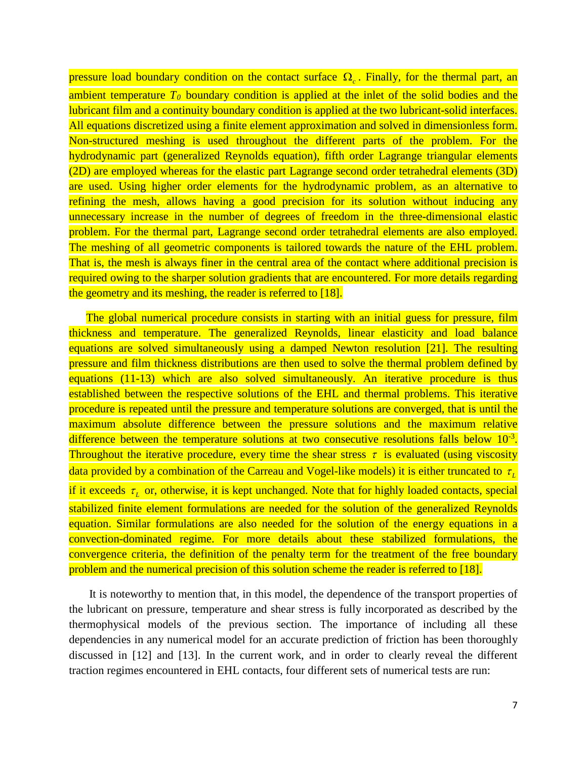pressure load boundary condition on the contact surface  $\Omega_{c}$ . Finally, for the thermal part, an ambient temperature  $T_0$  boundary condition is applied at the inlet of the solid bodies and the lubricant film and a continuity boundary condition is applied at the two lubricant-solid interfaces. All equations discretized using a finite element approximation and solved in dimensionless form. Non-structured meshing is used throughout the different parts of the problem. For the hydrodynamic part (generalized Reynolds equation), fifth order Lagrange triangular elements (2D) are employed whereas for the elastic part Lagrange second order tetrahedral elements (3D) are used. Using higher order elements for the hydrodynamic problem, as an alternative to refining the mesh, allows having a good precision for its solution without inducing any unnecessary increase in the number of degrees of freedom in the three-dimensional elastic problem. For the thermal part, Lagrange second order tetrahedral elements are also employed. The meshing of all geometric components is tailored towards the nature of the EHL problem. That is, the mesh is always finer in the central area of the contact where additional precision is required owing to the sharper solution gradients that are encountered. For more details regarding the geometry and its meshing, the reader is referred to [\[18\].](#page-23-4)

The global numerical procedure consists in starting with an initial guess for pressure, film thickness and temperature. The generalized Reynolds, linear elasticity and load balance equations are solved simultaneously using a damped Newton resolution [\[21\].](#page-23-7) The resulting pressure and film thickness distributions are then used to solve the thermal problem defined by equations (11-13) which are also solved simultaneously. An iterative procedure is thus established between the respective solutions of the EHL and thermal problems. This iterative procedure is repeated until the pressure and temperature solutions are converged, that is until the maximum absolute difference between the pressure solutions and the maximum relative difference between the temperature solutions at two consecutive resolutions falls below  $10^{-3}$ . Throughout the iterative procedure, every time the shear stress  $\tau$  is evaluated (using viscosity data provided by a combination of the Carreau and Vogel-like models) it is either truncated to *τ* if it exceeds  $\tau_{L}$  or, otherwise, it is kept unchanged. Note that for highly loaded contacts, special stabilized finite element formulations are needed for the solution of the generalized Reynolds equation. Similar formulations are also needed for the solution of the energy equations in a convection-dominated regime. For more details about these stabilized formulations, the convergence criteria, the definition of the penalty term for the treatment of the free boundary problem and the numerical precision of this solution scheme the reader is referred to [\[18\].](#page-23-4)

It is noteworthy to mention that, in this model, the dependence of the transport properties of the lubricant on pressure, temperature and shear stress is fully incorporated as described by the thermophysical models of the previous section. The importance of including all these dependencies in any numerical model for an accurate prediction of friction has been thoroughly discussed in [\[12\]](#page-22-11) and [\[13\].](#page-22-12) In the current work, and in order to clearly reveal the different traction regimes encountered in EHL contacts, four different sets of numerical tests are run: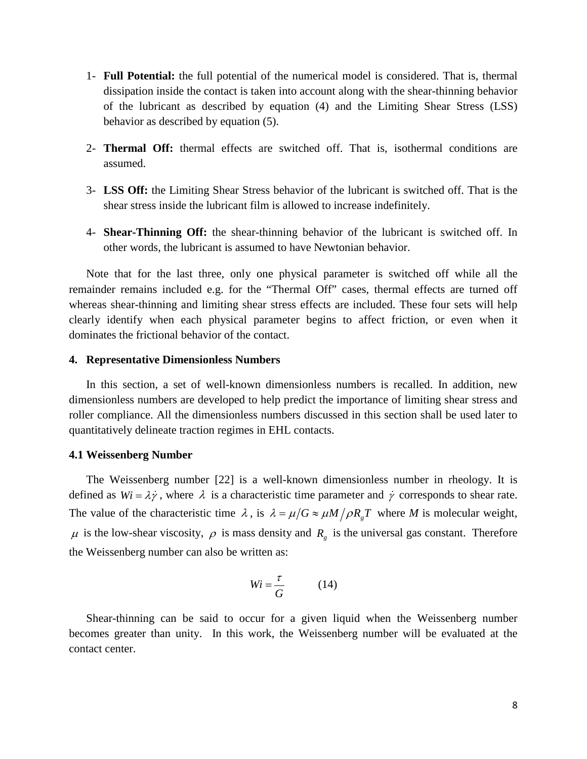- 1- **Full Potential:** the full potential of the numerical model is considered. That is, thermal dissipation inside the contact is taken into account along with the shear-thinning behavior of the lubricant as described by equation (4) and the Limiting Shear Stress (LSS) behavior as described by equation (5).
- 2- **Thermal Off:** thermal effects are switched off. That is, isothermal conditions are assumed.
- 3- **LSS Off:** the Limiting Shear Stress behavior of the lubricant is switched off. That is the shear stress inside the lubricant film is allowed to increase indefinitely.
- 4- **Shear-Thinning Off:** the shear-thinning behavior of the lubricant is switched off. In other words, the lubricant is assumed to have Newtonian behavior.

Note that for the last three, only one physical parameter is switched off while all the remainder remains included e.g. for the "Thermal Off" cases, thermal effects are turned off whereas shear-thinning and limiting shear stress effects are included. These four sets will help clearly identify when each physical parameter begins to affect friction, or even when it dominates the frictional behavior of the contact.

#### **4. Representative Dimensionless Numbers**

In this section, a set of well-known dimensionless numbers is recalled. In addition, new dimensionless numbers are developed to help predict the importance of limiting shear stress and roller compliance. All the dimensionless numbers discussed in this section shall be used later to quantitatively delineate traction regimes in EHL contacts.

#### **4.1 Weissenberg Number**

The Weissenberg number [\[22\]](#page-23-8) is a well-known dimensionless number in rheology. It is defined as  $Wi = \lambda \dot{\gamma}$ , where  $\lambda$  is a characteristic time parameter and  $\dot{\gamma}$  corresponds to shear rate. The value of the characteristic time  $\lambda$ , is  $\lambda = \mu/G \approx \mu M / \rho R T$ , where *M* is molecular weight,  $\mu$  is the low-shear viscosity,  $\rho$  is mass density and  $R_g$  is the universal gas constant. Therefore the Weissenberg number can also be written as:

$$
Wi = \frac{\tau}{G} \tag{14}
$$

Shear-thinning can be said to occur for a given liquid when the Weissenberg number becomes greater than unity. In this work, the Weissenberg number will be evaluated at the contact center.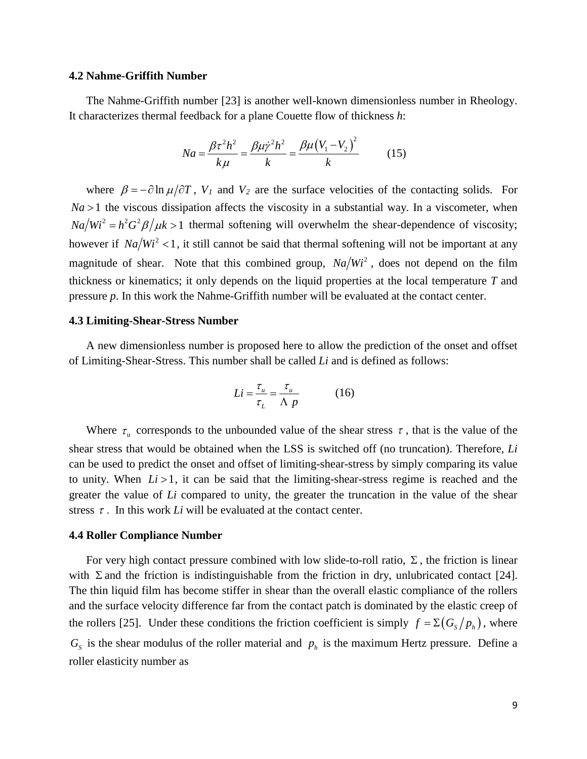#### **4.2 Nahme-Griffith Number**

The Nahme-Griffith number [\[23\]](#page-23-9) is another well-known dimensionless number in Rheology. It characterizes thermal feedback for a plane Couette flow of thickness *h*:

$$
Na = \frac{\beta \tau^2 h^2}{k\mu} = \frac{\beta \mu \dot{\gamma}^2 h^2}{k} = \frac{\beta \mu (V_1 - V_2)^2}{k}
$$
 (15)

where  $\beta = -\partial \ln \mu / \partial T$ ,  $V_1$  and  $V_2$  are the surface velocities of the contacting solids. For  $Na > 1$  the viscous dissipation affects the viscosity in a substantial way. In a viscometer, when  $Na/Wi^2 = h^2 G^2 \beta / \mu k > 1$  thermal softening will overwhelm the shear-dependence of viscosity; however if  $Na/Wi^2 < 1$ , it still cannot be said that thermal softening will not be important at any magnitude of shear. Note that this combined group,  $Na/Wi^2$ , does not depend on the film thickness or kinematics; it only depends on the liquid properties at the local temperature *T* and pressure *p*. In this work the Nahme-Griffith number will be evaluated at the contact center.

#### **4.3 Limiting-Shear-Stress Number**

A new dimensionless number is proposed here to allow the prediction of the onset and offset of Limiting-Shear-Stress. This number shall be called *Li* and is defined as follows:

$$
Li = \frac{\tau_u}{\tau_L} = \frac{\tau_u}{\Lambda p} \tag{16}
$$

Where  $\tau_u$  corresponds to the unbounded value of the shear stress  $\tau$ , that is the value of the shear stress that would be obtained when the LSS is switched off (no truncation). Therefore, *Li*  can be used to predict the onset and offset of limiting-shear-stress by simply comparing its value to unity. When  $Li > 1$ , it can be said that the limiting-shear-stress regime is reached and the greater the value of *Li* compared to unity, the greater the truncation in the value of the shear stress  $\tau$ . In this work *Li* will be evaluated at the contact center.

#### **4.4 Roller Compliance Number**

For very high contact pressure combined with low slide-to-roll ratio,  $\Sigma$ , the friction is linear with  $\Sigma$  and the friction is indistinguishable from the friction in dry, unlubricated contact [\[24\].](#page-23-10) The thin liquid film has become stiffer in shear than the overall elastic compliance of the rollers and the surface velocity difference far from the contact patch is dominated by the elastic creep of the rollers [\[25\].](#page-23-11) Under these conditions the friction coefficient is simply  $f = \sum (G_s/p_h)$ , where  $G<sub>s</sub>$  is the shear modulus of the roller material and  $p<sub>h</sub>$  is the maximum Hertz pressure. Define a roller elasticity number as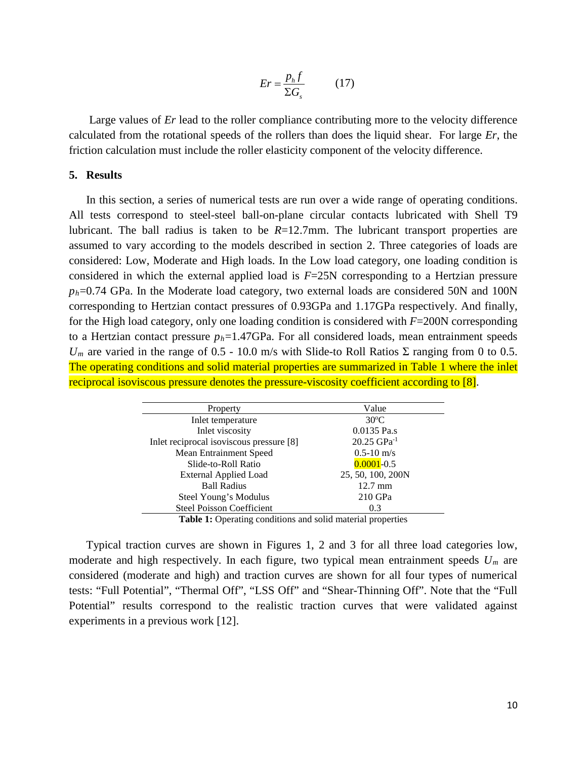$$
Er = \frac{p_h f}{\Sigma G_s} \tag{17}
$$

Large values of *Er* lead to the roller compliance contributing more to the velocity difference calculated from the rotational speeds of the rollers than does the liquid shear. For large *Er*, the friction calculation must include the roller elasticity component of the velocity difference.

#### **5. Results**

In this section, a series of numerical tests are run over a wide range of operating conditions. All tests correspond to steel-steel ball-on-plane circular contacts lubricated with Shell T9 lubricant. The ball radius is taken to be *R*=12.7mm. The lubricant transport properties are assumed to vary according to the models described in section 2. Three categories of loads are considered: Low, Moderate and High loads. In the Low load category, one loading condition is considered in which the external applied load is *F*=25N corresponding to a Hertzian pressure *ph*=0.74 GPa. In the Moderate load category, two external loads are considered 50N and 100N corresponding to Hertzian contact pressures of 0.93GPa and 1.17GPa respectively. And finally, for the High load category, only one loading condition is considered with *F*=200N corresponding to a Hertzian contact pressure  $p_h = 1.47$ GPa. For all considered loads, mean entrainment speeds  $U_m$  are varied in the range of 0.5 - 10.0 m/s with Slide-to Roll Ratios  $\Sigma$  ranging from 0 to 0.5. The operating conditions and solid material properties are summarized in Table 1 where the inlet reciprocal isoviscous pressure denotes the pressure-viscosity coefficient according to [\[8\].](#page-22-7)

| Property                                 | Value                                                       |
|------------------------------------------|-------------------------------------------------------------|
| Inlet temperature                        | $30^{\circ}$ C                                              |
| Inlet viscosity                          | 0.0135 Pa.s                                                 |
| Inlet reciprocal isoviscous pressure [8] | $20.25$ GPa <sup>-1</sup>                                   |
| Mean Entrainment Speed                   | $0.5 - 10$ m/s                                              |
| Slide-to-Roll Ratio                      | $0.0001 - 0.5$                                              |
| <b>External Applied Load</b>             | 25, 50, 100, 200N                                           |
| <b>Ball Radius</b>                       | $12.7 \text{ mm}$                                           |
| Steel Young's Modulus                    | $210$ GPa                                                   |
| <b>Steel Poisson Coefficient</b>         | 0.3                                                         |
| $\cdots$<br>$\blacksquare$               | $\bullet$ $\bullet$ $\bullet$ $\bullet$ $\bullet$ $\bullet$ |

Table 1: Operating conditions and solid material properties

Typical traction curves are shown in Figures 1, 2 and 3 for all three load categories low, moderate and high respectively. In each figure, two typical mean entrainment speeds *Um* are considered (moderate and high) and traction curves are shown for all four types of numerical tests: "Full Potential", "Thermal Off", "LSS Off" and "Shear-Thinning Off". Note that the "Full Potential" results correspond to the realistic traction curves that were validated against experiments in a previous work [\[12\].](#page-22-11)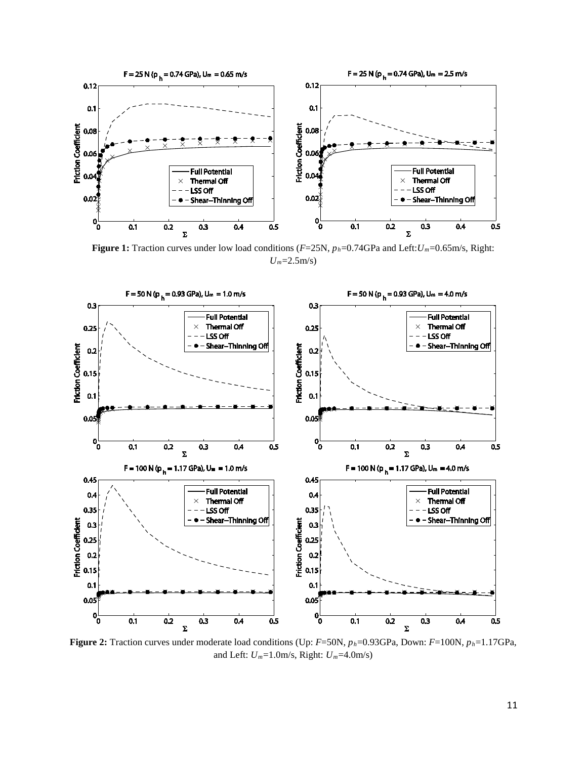

**Figure 1:** Traction curves under low load conditions (*F*=25N, *ph*=0.74GPa and Left:*Um*=0.65m/s, Right: *Um*=2.5m/s)



**Figure 2:** Traction curves under moderate load conditions (Up: *F*=50N, *ph*=0.93GPa, Down: *F*=100N, *ph*=1.17GPa, and Left: *Um*=1.0m/s, Right: *Um*=4.0m/s)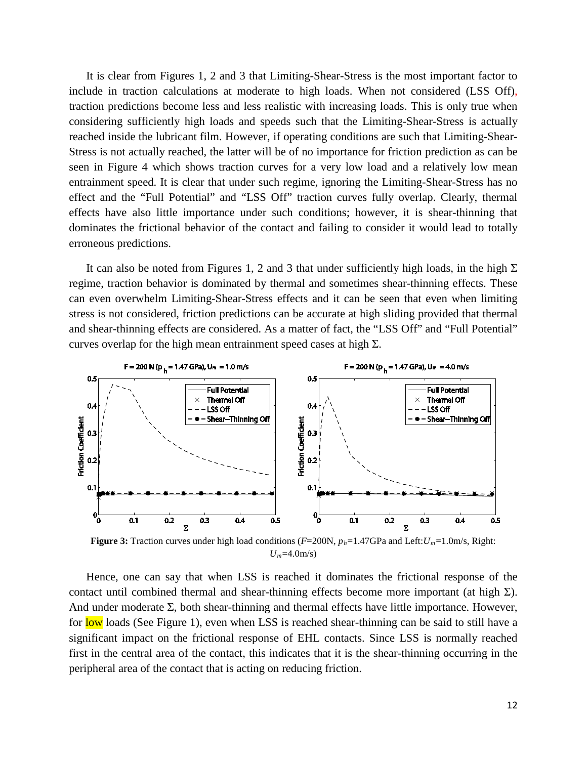It is clear from Figures 1, 2 and 3 that Limiting-Shear-Stress is the most important factor to include in traction calculations at moderate to high loads. When not considered (LSS Off), traction predictions become less and less realistic with increasing loads. This is only true when considering sufficiently high loads and speeds such that the Limiting-Shear-Stress is actually reached inside the lubricant film. However, if operating conditions are such that Limiting-Shear-Stress is not actually reached, the latter will be of no importance for friction prediction as can be seen in Figure 4 which shows traction curves for a very low load and a relatively low mean entrainment speed. It is clear that under such regime, ignoring the Limiting-Shear-Stress has no effect and the "Full Potential" and "LSS Off" traction curves fully overlap. Clearly, thermal effects have also little importance under such conditions; however, it is shear-thinning that dominates the frictional behavior of the contact and failing to consider it would lead to totally erroneous predictions.

It can also be noted from Figures 1, 2 and 3 that under sufficiently high loads, in the high  $\Sigma$ regime, traction behavior is dominated by thermal and sometimes shear-thinning effects. These can even overwhelm Limiting-Shear-Stress effects and it can be seen that even when limiting stress is not considered, friction predictions can be accurate at high sliding provided that thermal and shear-thinning effects are considered. As a matter of fact, the "LSS Off" and "Full Potential" curves overlap for the high mean entrainment speed cases at high  $\Sigma$ .



*Um*=4.0m/s)

Hence, one can say that when LSS is reached it dominates the frictional response of the contact until combined thermal and shear-thinning effects become more important (at high  $\Sigma$ ). And under moderate  $\Sigma$ , both shear-thinning and thermal effects have little importance. However, for low loads (See Figure 1), even when LSS is reached shear-thinning can be said to still have a significant impact on the frictional response of EHL contacts. Since LSS is normally reached first in the central area of the contact, this indicates that it is the shear-thinning occurring in the peripheral area of the contact that is acting on reducing friction.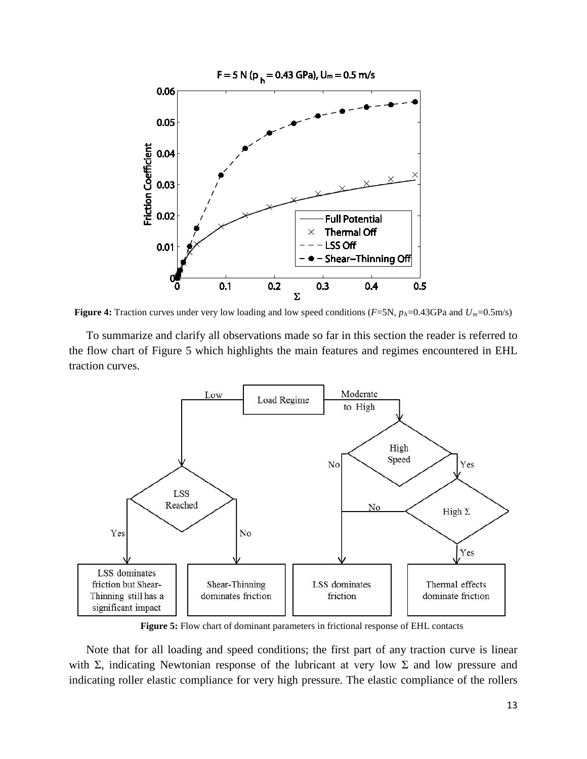

**Figure 4:** Traction curves under very low loading and low speed conditions (*F*=5N, *ph*=0.43GPa and *Um*=0.5m/s)

To summarize and clarify all observations made so far in this section the reader is referred to the flow chart of Figure 5 which highlights the main features and regimes encountered in EHL traction curves.



**Figure 5:** Flow chart of dominant parameters in frictional response of EHL contacts

Note that for all loading and speed conditions; the first part of any traction curve is linear with Σ, indicating Newtonian response of the lubricant at very low Σ and low pressure and indicating roller elastic compliance for very high pressure. The elastic compliance of the rollers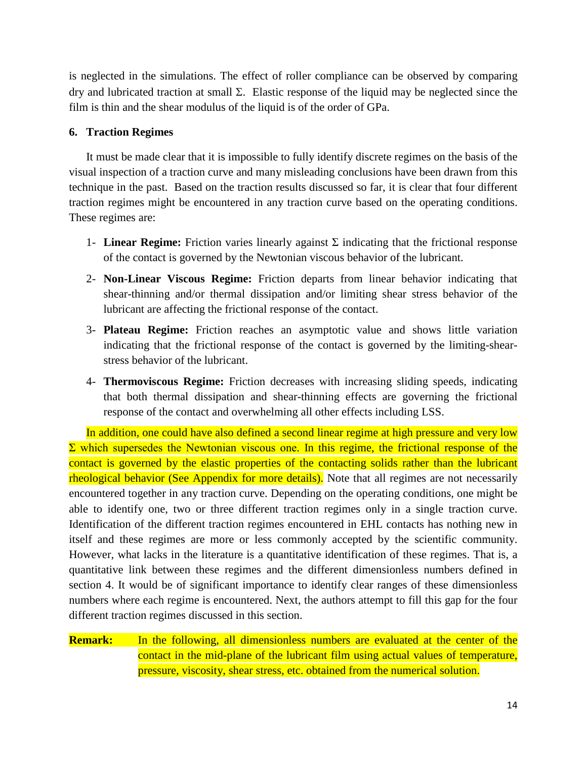is neglected in the simulations. The effect of roller compliance can be observed by comparing dry and lubricated traction at small Σ. Elastic response of the liquid may be neglected since the film is thin and the shear modulus of the liquid is of the order of GPa.

## **6. Traction Regimes**

It must be made clear that it is impossible to fully identify discrete regimes on the basis of the visual inspection of a traction curve and many misleading conclusions have been drawn from this technique in the past. Based on the traction results discussed so far, it is clear that four different traction regimes might be encountered in any traction curve based on the operating conditions. These regimes are:

- 1- **Linear Regime:** Friction varies linearly against  $\Sigma$  indicating that the frictional response of the contact is governed by the Newtonian viscous behavior of the lubricant.
- 2- **Non-Linear Viscous Regime:** Friction departs from linear behavior indicating that shear-thinning and/or thermal dissipation and/or limiting shear stress behavior of the lubricant are affecting the frictional response of the contact.
- 3- **Plateau Regime:** Friction reaches an asymptotic value and shows little variation indicating that the frictional response of the contact is governed by the limiting-shearstress behavior of the lubricant.
- 4- **Thermoviscous Regime:** Friction decreases with increasing sliding speeds, indicating that both thermal dissipation and shear-thinning effects are governing the frictional response of the contact and overwhelming all other effects including LSS.

In addition, one could have also defined a second linear regime at high pressure and very low  $\Sigma$  which supersedes the Newtonian viscous one. In this regime, the frictional response of the contact is governed by the elastic properties of the contacting solids rather than the lubricant rheological behavior (See Appendix for more details). Note that all regimes are not necessarily encountered together in any traction curve. Depending on the operating conditions, one might be able to identify one, two or three different traction regimes only in a single traction curve. Identification of the different traction regimes encountered in EHL contacts has nothing new in itself and these regimes are more or less commonly accepted by the scientific community. However, what lacks in the literature is a quantitative identification of these regimes. That is, a quantitative link between these regimes and the different dimensionless numbers defined in section 4. It would be of significant importance to identify clear ranges of these dimensionless numbers where each regime is encountered. Next, the authors attempt to fill this gap for the four different traction regimes discussed in this section.

**Remark:** In the following, all dimensionless numbers are evaluated at the center of the contact in the mid-plane of the lubricant film using actual values of temperature, pressure, viscosity, shear stress, etc. obtained from the numerical solution.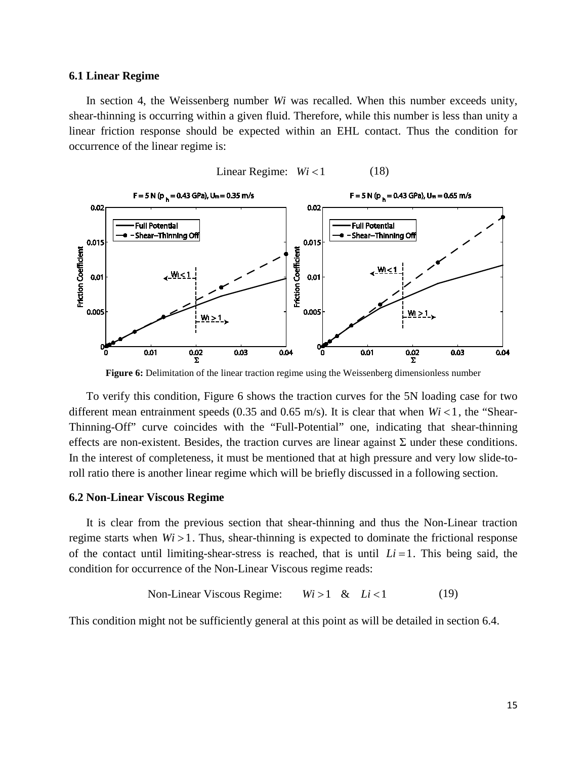#### **6.1 Linear Regime**

In section 4, the Weissenberg number *Wi* was recalled. When this number exceeds unity, shear-thinning is occurring within a given fluid. Therefore, while this number is less than unity a linear friction response should be expected within an EHL contact. Thus the condition for occurrence of the linear regime is:



**Figure 6:** Delimitation of the linear traction regime using the Weissenberg dimensionless number

To verify this condition, Figure 6 shows the traction curves for the 5N loading case for two different mean entrainment speeds (0.35 and 0.65 m/s). It is clear that when  $Wi < 1$ , the "Shear-Thinning-Off" curve coincides with the "Full-Potential" one, indicating that shear-thinning effects are non-existent. Besides, the traction curves are linear against  $\Sigma$  under these conditions. In the interest of completeness, it must be mentioned that at high pressure and very low slide-toroll ratio there is another linear regime which will be briefly discussed in a following section.

#### **6.2 Non-Linear Viscous Regime**

It is clear from the previous section that shear-thinning and thus the Non-Linear traction regime starts when  $Wi > 1$ . Thus, shear-thinning is expected to dominate the frictional response of the contact until limiting-shear-stress is reached, that is until  $Li = 1$ . This being said, the condition for occurrence of the Non-Linear Viscous regime reads:

Non-Linear Viscous Regime: 
$$
Wi > 1
$$
 &  $Li < 1$  (19)

This condition might not be sufficiently general at this point as will be detailed in section 6.4.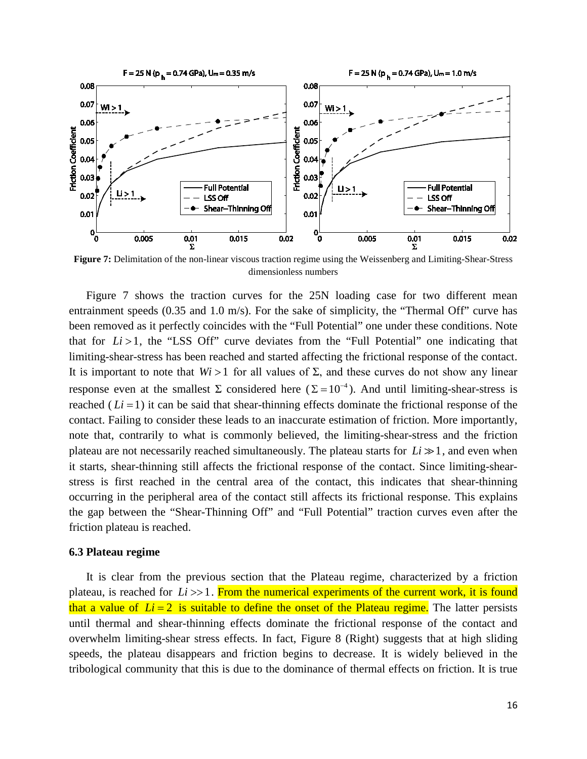

**Figure 7:** Delimitation of the non-linear viscous traction regime using the Weissenberg and Limiting-Shear-Stress dimensionless numbers

Figure 7 shows the traction curves for the 25N loading case for two different mean entrainment speeds (0.35 and 1.0 m/s). For the sake of simplicity, the "Thermal Off" curve has been removed as it perfectly coincides with the "Full Potential" one under these conditions. Note that for  $Li > 1$ , the "LSS Off" curve deviates from the "Full Potential" one indicating that limiting-shear-stress has been reached and started affecting the frictional response of the contact. It is important to note that  $Wi > 1$  for all values of  $\Sigma$ , and these curves do not show any linear response even at the smallest  $\Sigma$  considered here ( $\Sigma = 10^{-4}$ ). And until limiting-shear-stress is reached  $(Li=1)$  it can be said that shear-thinning effects dominate the frictional response of the contact. Failing to consider these leads to an inaccurate estimation of friction. More importantly, note that, contrarily to what is commonly believed, the limiting-shear-stress and the friction plateau are not necessarily reached simultaneously. The plateau starts for  $Li \gg 1$ , and even when it starts, shear-thinning still affects the frictional response of the contact. Since limiting-shearstress is first reached in the central area of the contact, this indicates that shear-thinning occurring in the peripheral area of the contact still affects its frictional response. This explains the gap between the "Shear-Thinning Off" and "Full Potential" traction curves even after the friction plateau is reached.

#### **6.3 Plateau regime**

It is clear from the previous section that the Plateau regime, characterized by a friction plateau, is reached for *Li* >>1. From the numerical experiments of the current work, it is found that a value of  $Li = 2$  is suitable to define the onset of the Plateau regime. The latter persists until thermal and shear-thinning effects dominate the frictional response of the contact and overwhelm limiting-shear stress effects. In fact, Figure 8 (Right) suggests that at high sliding speeds, the plateau disappears and friction begins to decrease. It is widely believed in the tribological community that this is due to the dominance of thermal effects on friction. It is true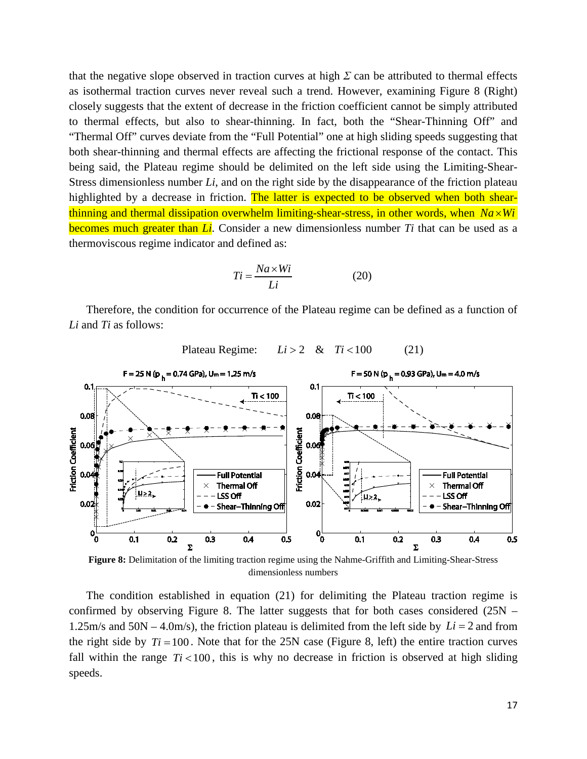that the negative slope observed in traction curves at high  $\Sigma$  can be attributed to thermal effects as isothermal traction curves never reveal such a trend. However, examining Figure 8 (Right) closely suggests that the extent of decrease in the friction coefficient cannot be simply attributed to thermal effects, but also to shear-thinning. In fact, both the "Shear-Thinning Off" and "Thermal Off" curves deviate from the "Full Potential" one at high sliding speeds suggesting that both shear-thinning and thermal effects are affecting the frictional response of the contact. This being said, the Plateau regime should be delimited on the left side using the Limiting-Shear-Stress dimensionless number *Li*, and on the right side by the disappearance of the friction plateau highlighted by a decrease in friction. The latter is expected to be observed when both shearthinning and thermal dissipation overwhelm limiting-shear-stress, in other words, when  $Na \times Wi$ becomes much greater than *Li*. Consider a new dimensionless number *Ti* that can be used as a thermoviscous regime indicator and defined as:

$$
Ti = \frac{Na \times Wi}{Li} \tag{20}
$$

Therefore, the condition for occurrence of the Plateau regime can be defined as a function of *Li* and *Ti* as follows:



Plateau Regime:  $Li > 2$  &  $Ti < 100$  (21)

**Figure 8:** Delimitation of the limiting traction regime using the Nahme-Griffith and Limiting-Shear-Stress dimensionless numbers

The condition established in equation (21) for delimiting the Plateau traction regime is confirmed by observing Figure 8. The latter suggests that for both cases considered (25N – 1.25m/s and 50N – 4.0m/s), the friction plateau is delimited from the left side by *Li* = 2 and from the right side by  $Ti = 100$ . Note that for the 25N case (Figure 8, left) the entire traction curves fall within the range  $Ti < 100$ , this is why no decrease in friction is observed at high sliding speeds.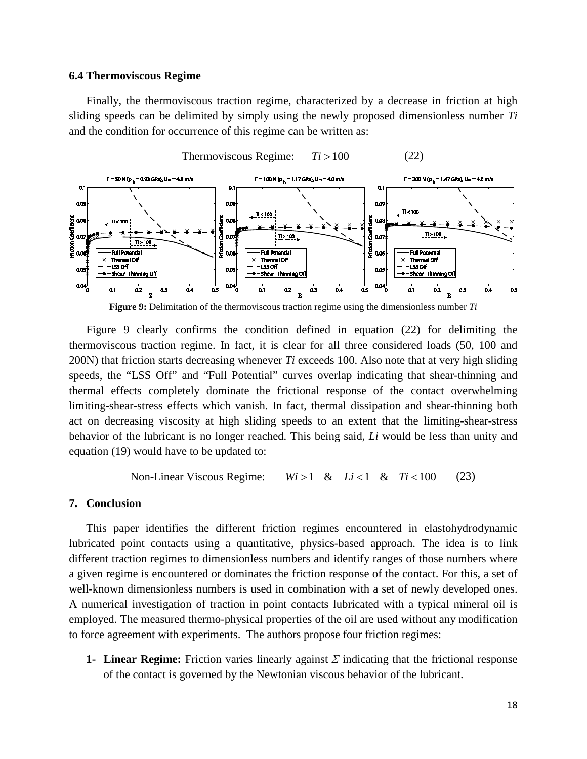#### **6.4 Thermoviscous Regime**

Finally, the thermoviscous traction regime, characterized by a decrease in friction at high sliding speeds can be delimited by simply using the newly proposed dimensionless number *Ti* and the condition for occurrence of this regime can be written as:



**Figure 9:** Delimitation of the thermoviscous traction regime using the dimensionless number *Ti*

Figure 9 clearly confirms the condition defined in equation (22) for delimiting the thermoviscous traction regime. In fact, it is clear for all three considered loads (50, 100 and 200N) that friction starts decreasing whenever *Ti* exceeds 100. Also note that at very high sliding speeds, the "LSS Off" and "Full Potential" curves overlap indicating that shear-thinning and thermal effects completely dominate the frictional response of the contact overwhelming limiting-shear-stress effects which vanish. In fact, thermal dissipation and shear-thinning both act on decreasing viscosity at high sliding speeds to an extent that the limiting-shear-stress behavior of the lubricant is no longer reached. This being said, *Li* would be less than unity and equation (19) would have to be updated to:

Non-Linear Viscous Regime:  $Wi > 1$  &  $Li < 1$  &  $Ti < 100$  (23)

#### **7. Conclusion**

This paper identifies the different friction regimes encountered in elastohydrodynamic lubricated point contacts using a quantitative, physics-based approach. The idea is to link different traction regimes to dimensionless numbers and identify ranges of those numbers where a given regime is encountered or dominates the friction response of the contact. For this, a set of well-known dimensionless numbers is used in combination with a set of newly developed ones. A numerical investigation of traction in point contacts lubricated with a typical mineral oil is employed. The measured thermo-physical properties of the oil are used without any modification to force agreement with experiments. The authors propose four friction regimes:

**1- Linear Regime:** Friction varies linearly against *Σ* indicating that the frictional response of the contact is governed by the Newtonian viscous behavior of the lubricant.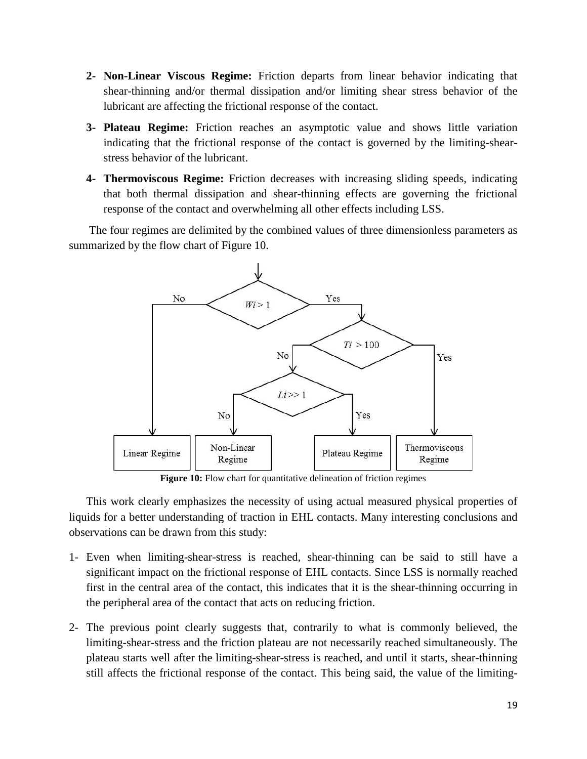- **2- Non-Linear Viscous Regime:** Friction departs from linear behavior indicating that shear-thinning and/or thermal dissipation and/or limiting shear stress behavior of the lubricant are affecting the frictional response of the contact.
- **3- Plateau Regime:** Friction reaches an asymptotic value and shows little variation indicating that the frictional response of the contact is governed by the limiting-shearstress behavior of the lubricant.
- **4- Thermoviscous Regime:** Friction decreases with increasing sliding speeds, indicating that both thermal dissipation and shear-thinning effects are governing the frictional response of the contact and overwhelming all other effects including LSS.

The four regimes are delimited by the combined values of three dimensionless parameters as summarized by the flow chart of Figure 10.



**Figure 10:** Flow chart for quantitative delineation of friction regimes

This work clearly emphasizes the necessity of using actual measured physical properties of liquids for a better understanding of traction in EHL contacts. Many interesting conclusions and observations can be drawn from this study:

- 1- Even when limiting-shear-stress is reached, shear-thinning can be said to still have a significant impact on the frictional response of EHL contacts. Since LSS is normally reached first in the central area of the contact, this indicates that it is the shear-thinning occurring in the peripheral area of the contact that acts on reducing friction.
- 2- The previous point clearly suggests that, contrarily to what is commonly believed, the limiting-shear-stress and the friction plateau are not necessarily reached simultaneously. The plateau starts well after the limiting-shear-stress is reached, and until it starts, shear-thinning still affects the frictional response of the contact. This being said, the value of the limiting-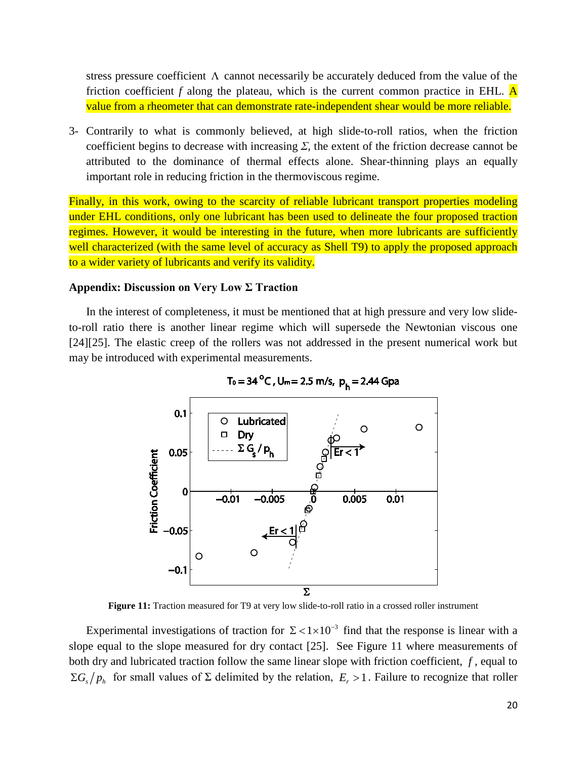stress pressure coefficient  $\Lambda$  cannot necessarily be accurately deduced from the value of the friction coefficient  $f$  along the plateau, which is the current common practice in EHL.  $\overline{A}$ value from a rheometer that can demonstrate rate-independent shear would be more reliable.

3- Contrarily to what is commonly believed, at high slide-to-roll ratios, when the friction coefficient begins to decrease with increasing  $\Sigma$ , the extent of the friction decrease cannot be attributed to the dominance of thermal effects alone. Shear-thinning plays an equally important role in reducing friction in the thermoviscous regime.

Finally, in this work, owing to the scarcity of reliable lubricant transport properties modeling under EHL conditions, only one lubricant has been used to delineate the four proposed traction regimes. However, it would be interesting in the future, when more lubricants are sufficiently well characterized (with the same level of accuracy as Shell T9) to apply the proposed approach to a wider variety of lubricants and verify its validity.

#### **Appendix: Discussion on Very Low Σ Traction**

In the interest of completeness, it must be mentioned that at high pressure and very low slideto-roll ratio there is another linear regime which will supersede the Newtonian viscous one [\[24\]](#page-23-10)[\[25\].](#page-23-11) The elastic creep of the rollers was not addressed in the present numerical work but may be introduced with experimental measurements.



T<sub>0</sub> = 34 <sup>o</sup>C, U<sub>m</sub> = 2.5 m/s, p<sub>h</sub> = 2.44 Gpa

**Figure 11:** Traction measured for T9 at very low slide-to-roll ratio in a crossed roller instrument

Experimental investigations of traction for  $\Sigma < 1 \times 10^{-3}$  find that the response is linear with a slope equal to the slope measured for dry contact [\[25\].](#page-23-11) See Figure 11 where measurements of both dry and lubricated traction follow the same linear slope with friction coefficient, *f* , equal to  $\Sigma G_s / p_h$  for small values of  $\Sigma$  delimited by the relation,  $E_r > 1$ . Failure to recognize that roller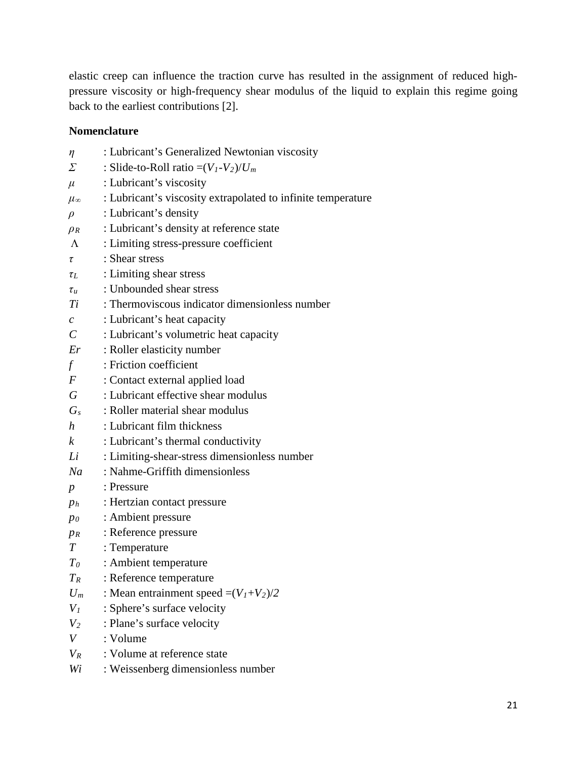elastic creep can influence the traction curve has resulted in the assignment of reduced highpressure viscosity or high-frequency shear modulus of the liquid to explain this regime going back to the earliest contributions [\[2\].](#page-22-1)

## **Nomenclature**

*η* : Lubricant's Generalized Newtonian viscosity  $\Sigma$  : Slide-to-Roll ratio =( $V_I - V_2$ )/ $U_m$  $\mu$  : Lubricant's viscosity *μ∞* : Lubricant's viscosity extrapolated to infinite temperature *ρ* : Lubricant's density *ρ<sup>R</sup>* : Lubricant's density at reference state Λ : Limiting stress-pressure coefficient *τ* : Shear stress *τ<sup>L</sup>* : Limiting shear stress *τ<sup>u</sup>* : Unbounded shear stress *Ti* : Thermoviscous indicator dimensionless number *c* : Lubricant's heat capacity *C* : Lubricant's volumetric heat capacity *Er* : Roller elasticity number *f* : Friction coefficient *F* : Contact external applied load *G* : Lubricant effective shear modulus *Gs* : Roller material shear modulus *h* : Lubricant film thickness *k* : Lubricant's thermal conductivity *Li* : Limiting-shear-stress dimensionless number *Na* : Nahme-Griffith dimensionless *p* : Pressure *ph* : Hertzian contact pressure *p0* : Ambient pressure *pR* : Reference pressure *T* : Temperature *T0* : Ambient temperature *TR* : Reference temperature *U<sub>m</sub>* : Mean entrainment speed  $=(V_1+V_2)/2$ *V1* : Sphere's surface velocity *V2* : Plane's surface velocity *V* : Volume *VR* : Volume at reference state *Wi* : Weissenberg dimensionless number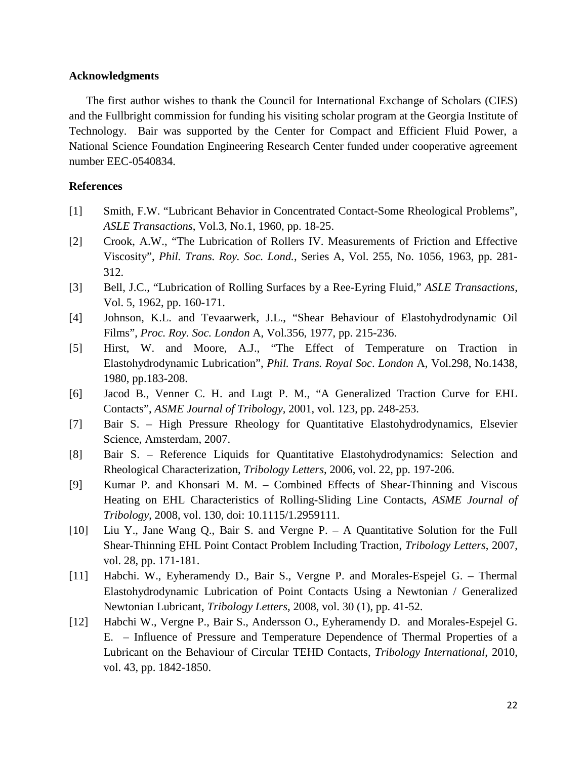#### <span id="page-22-12"></span>**Acknowledgments**

The first author wishes to thank the Council for International Exchange of Scholars (CIES) and the Fullbright commission for funding his visiting scholar program at the Georgia Institute of Technology. Bair was supported by the Center for Compact and Efficient Fluid Power, a National Science Foundation Engineering Research Center funded under cooperative agreement number EEC-0540834.

### **References**

- <span id="page-22-0"></span>[1] Smith, F.W. "Lubricant Behavior in Concentrated Contact-Some Rheological Problems", *ASLE Transactions*, Vol.3, No.1, 1960, pp. 18-25.
- <span id="page-22-1"></span>[2] Crook, A.W., "The Lubrication of Rollers IV. Measurements of Friction and Effective Viscosity", *Phil. Trans. Roy. Soc. Lond.*, Series A, Vol. 255, No. 1056, 1963, pp. 281- 312.
- <span id="page-22-2"></span>[3] Bell, J.C., "Lubrication of Rolling Surfaces by a Ree-Eyring Fluid," *ASLE Transactions*, Vol. 5, 1962, pp. 160-171.
- <span id="page-22-3"></span>[4] Johnson, K.L. and Tevaarwerk, J.L., "Shear Behaviour of Elastohydrodynamic Oil Films", *Proc. Roy. Soc. London* A, Vol.356, 1977, pp. 215-236.
- <span id="page-22-4"></span>[5] Hirst, W. and Moore, A.J., "The Effect of Temperature on Traction in Elastohydrodynamic Lubrication", *Phil. Trans. Royal Soc*. *London* A*,* Vol.298, No.1438, 1980, pp.183-208.
- <span id="page-22-5"></span>[6] Jacod B., Venner C. H. and Lugt P. M., "A Generalized Traction Curve for EHL Contacts", *ASME Journal of Tribology,* 2001, vol. 123, pp. 248-253.
- <span id="page-22-6"></span>[7] Bair S. – High Pressure Rheology for Quantitative Elastohydrodynamics, Elsevier Science, Amsterdam, 2007.
- <span id="page-22-7"></span>[8] Bair S. – Reference Liquids for Quantitative Elastohydrodynamics: Selection and Rheological Characterization, *Tribology Letters*, 2006, vol. 22, pp. 197-206.
- <span id="page-22-8"></span>[9] Kumar P. and Khonsari M. M. – Combined Effects of Shear-Thinning and Viscous Heating on EHL Characteristics of Rolling-Sliding Line Contacts, *ASME Journal of Tribology*, 2008, vol. 130, doi: 10.1115/1.2959111.
- <span id="page-22-9"></span>[10] Liu Y., Jane Wang Q., Bair S. and Vergne P. – A Quantitative Solution for the Full Shear-Thinning EHL Point Contact Problem Including Traction, *Tribology Letters*, 2007, vol. 28, pp. 171-181.
- <span id="page-22-10"></span>[11] Habchi. W., Eyheramendy D., Bair S., Vergne P. and Morales-Espejel G. – Thermal Elastohydrodynamic Lubrication of Point Contacts Using a Newtonian / Generalized Newtonian Lubricant, *Tribology Letters*, 2008, vol. 30 (1), pp. 41-52.
- <span id="page-22-11"></span>[12] Habchi W., Vergne P., Bair S., Andersson O., Eyheramendy D. and Morales-Espejel G. E. – Influence of Pressure and Temperature Dependence of Thermal Properties of a Lubricant on the Behaviour of Circular TEHD Contacts, *Tribology International*, 2010, vol. 43, pp. 1842-1850.